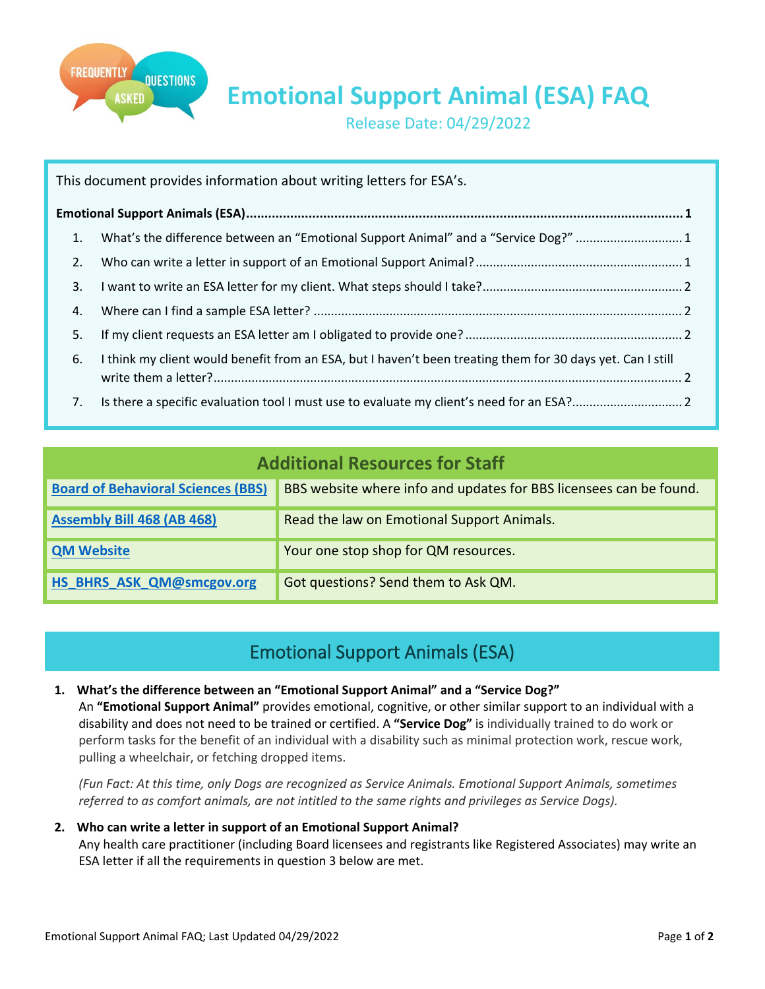

**Emotional Support Animal (ESA) FAQ**

Release Date: 04/29/2022

| This document provides information about writing letters for ESA's. |                                                                                                            |  |
|---------------------------------------------------------------------|------------------------------------------------------------------------------------------------------------|--|
|                                                                     |                                                                                                            |  |
| 1.                                                                  | What's the difference between an "Emotional Support Animal" and a "Service Dog?" 1                         |  |
| 2.                                                                  |                                                                                                            |  |
| 3.                                                                  |                                                                                                            |  |
| 4.                                                                  |                                                                                                            |  |
| 5.                                                                  |                                                                                                            |  |
| 6.                                                                  | I think my client would benefit from an ESA, but I haven't been treating them for 30 days yet. Can I still |  |
| 7.                                                                  |                                                                                                            |  |

| <b>Additional Resources for Staff</b>     |                                                                    |  |
|-------------------------------------------|--------------------------------------------------------------------|--|
| <b>Board of Behavioral Sciences (BBS)</b> | BBS website where info and updates for BBS licensees can be found. |  |
| <b>Assembly Bill 468 (AB 468)</b>         | Read the law on Emotional Support Animals.                         |  |
| <b>QM Website</b>                         | Your one stop shop for QM resources.                               |  |
| HS BHRS ASK QM@smcgov.org                 | Got questions? Send them to Ask QM.                                |  |

# Emotional Support Animals (ESA)

<span id="page-0-1"></span><span id="page-0-0"></span>**1. What's the difference between an "Emotional Support Animal" and a "Service Dog?"**

An **"Emotional Support Animal"** provides emotional, cognitive, or other similar support to an individual with a disability and does not need to be trained or certified. A **"Service Dog"** is individually trained to do work or perform tasks for the benefit of an individual with a disability such as minimal protection work, rescue work, pulling a wheelchair, or fetching dropped items.

*(Fun Fact: At this time, only Dogs are recognized as Service Animals. Emotional Support Animals, sometimes referred to as comfort animals, are not intitled to the same rights and privileges as Service Dogs).*

<span id="page-0-2"></span>**2. Who can write a letter in support of an Emotional Support Animal?** Any health care practitioner (including Board licensees and registrants like Registered Associates) may write an ESA letter if all the requirements in question 3 below are met.